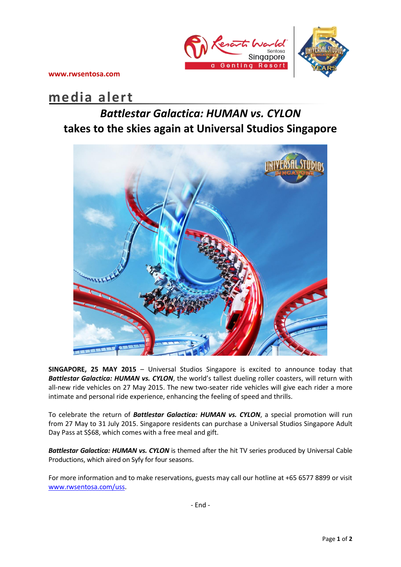

**www.rwsentosa.com**

# **media alert**

## *Battlestar Galactica: HUMAN vs. CYLON* **takes to the skies again at Universal Studios Singapore**



**SINGAPORE, 25 MAY 2015** – Universal Studios Singapore is excited to announce today that *Battlestar Galactica: HUMAN vs. CYLON*, the world's tallest dueling roller coasters, will return with all-new ride vehicles on 27 May 2015. The new two-seater ride vehicles will give each rider a more intimate and personal ride experience, enhancing the feeling of speed and thrills.

To celebrate the return of *Battlestar Galactica: HUMAN vs. CYLON*, a special promotion will run from 27 May to 31 July 2015. Singapore residents can purchase a Universal Studios Singapore Adult Day Pass at S\$68, which comes with a free meal and gift.

*Battlestar Galactica: HUMAN vs. CYLON* is themed after the hit TV series produced by Universal Cable Productions, which aired on Syfy for four seasons.

For more information and to make reservations, guests may call our hotline at +65 6577 8899 or visit [www.rwsentosa.com/uss.](http://www.rwsentosa.com/uss)

- End -